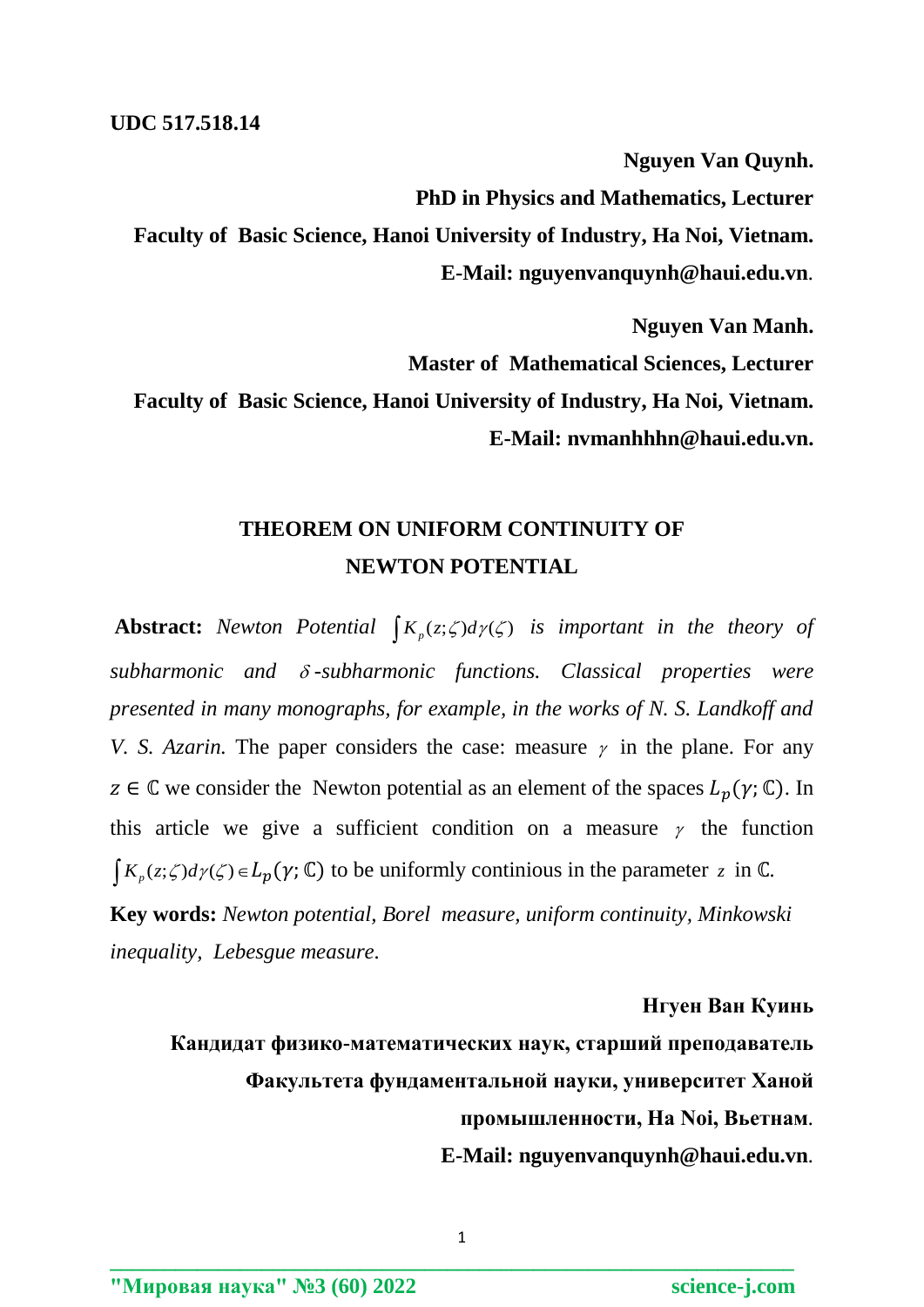**Nguyen Van Quynh. PhD in Physics and Mathematics, Lecturer Faculty of Basic Science, Hanoi University of Industry, Ha Noi, Vietnam. E-Mail: nguyenvanquynh@haui.edu.vn***.*

**Nguyen Van Manh. Master of Mathematical Sciences, Lecturer Faculty of Basic Science, Hanoi University of Industry, Ha Noi, Vietnam. E-Mail: nvmanhhhn@haui.edu.vn.**

## **THEOREM ON UNIFORM CONTINUITY OF NEWTON POTENTIAL**

**Abstract:** Newton Potential  $\int K_p(z;\zeta)d\gamma(\zeta)$  is important in the theory of *subharmonic and -subharmonic functions. Classical properties were presented in many monographs, for example, in the works of N. S. Landkoff and V. S. Azarin.* The paper considers the case: measure  $\gamma$  in the plane. For any  $z \in \mathbb{C}$  we consider the Newton potential as an element of the spaces  $L_n(\gamma; \mathbb{C})$ . In this article we give a sufficient condition on a measure  $\gamma$  the function  $\int K_p(z;\zeta) d\gamma(\zeta) \in L_p(\gamma;\mathbb{C})$  to be uniformly continious in the parameter z in  $\mathbb{C}$ .

**Key words:** *Newton potential, Borel measure, uniform continuity, Minkowski inequality, Lebesgue measure.*

**Нгуен Ван Куинь**

**Кандидат физико-математических наук, старший преподаватель Факультета фундаментальной науки, университет Ханой промышленности, Ha Noi, Вьетнам***.* **E-Mail: nguyenvanquynh@haui.edu.vn***.*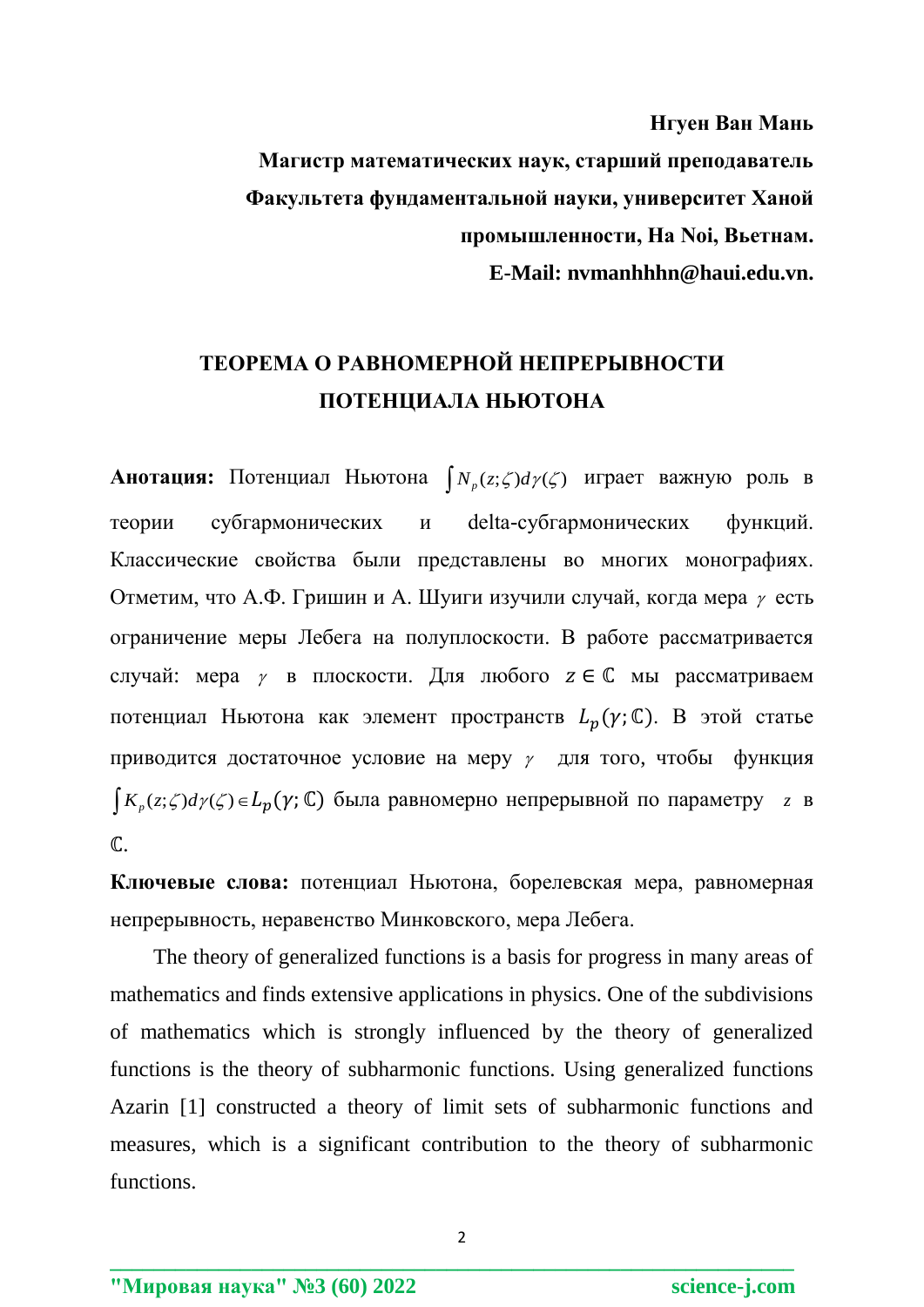Нгуен Ван Мань

Магистр математических наук, старший преподаватель Факультета фундаментальной науки, университет Ханой промышленности, На Noi, Вьетнам. E-Mail: nymanhhhn@haui.edu.vn.

## ТЕОРЕМА О РАВНОМЕРНОЙ НЕПРЕРЫВНОСТИ ПОТЕНЦИАЛА НЬЮТОНА

**Анотация:** Потенциал Ньютона  $\int N_p(z;\zeta)d\gamma(\zeta)$  играет важную роль в delta-субгармонических субгармонических функций. теории  $\mathbf{M}$ Классические свойства были представлены во многих монографиях. Отметим, что А.Ф. Гришин и А. Шуиги изучили случай, когда мера у есть ограничение меры Лебега на полуплоскости. В работе рассматривается случай: мера  $\gamma$  в плоскости. Для любого  $z \in \mathbb{C}$  мы рассматриваем потенциал Ньютона как элемент пространств  $L_p(\gamma; \mathbb{C})$ . В этой статье приводится достаточное условие на меру  $\gamma$  для того, чтобы функция  $K_p(z;\zeta)d\gamma(\zeta) \in L_p(\gamma;\mathbb{C})$  была равномерно непрерывной по параметру  $z$  в  $\mathbb{C}$ .

Ключевые слова: потенциал Ньютона, борелевская мера, равномерная непрерывность, неравенство Минковского, мера Лебега.

The theory of generalized functions is a basis for progress in many areas of mathematics and finds extensive applications in physics. One of the subdivisions of mathematics which is strongly influenced by the theory of generalized functions is the theory of subharmonic functions. Using generalized functions Azarin [1] constructed a theory of limit sets of subharmonic functions and measures, which is a significant contribution to the theory of subharmonic functions.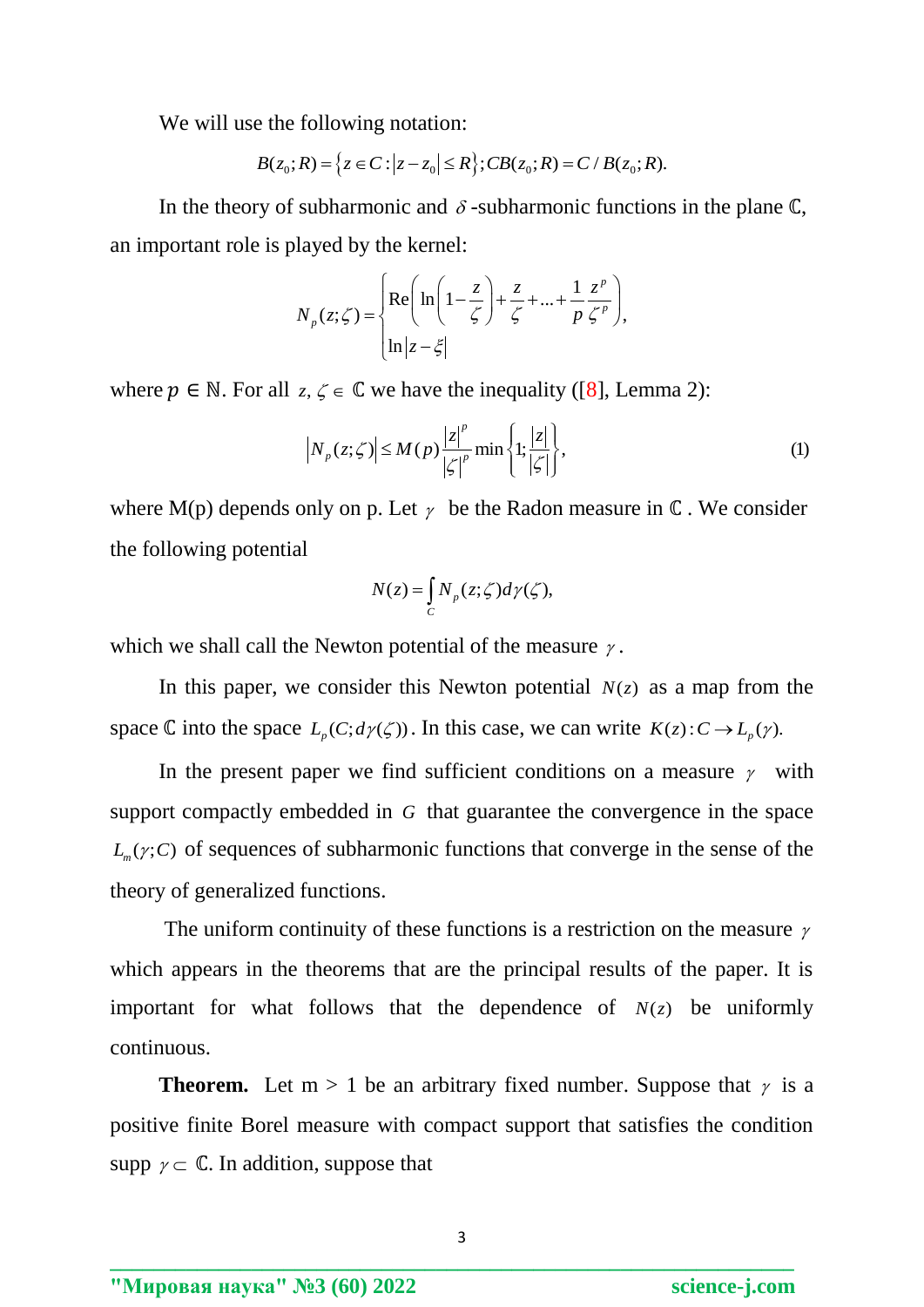We will use the following notation:  
\n
$$
B(z_0; R) = \{z \in C : |z - z_0| \le R\}; CB(z_0; R) = C / B(z_0; R).
$$

In the theory of subharmonic and  $\delta$ -subharmonic functions in the plane  $\mathbb{C}$ , an important role is played by the kernel:

rayed by the Kernel.  
\n
$$
N_p(z;\zeta) = \begin{cases} \text{Re}\left(\ln\left(1-\frac{z}{\zeta}\right) + \frac{z}{\zeta} + ... + \frac{1}{p}\frac{z^p}{\zeta^p}\right), \\ \ln|z-\xi| \end{cases}
$$

where 
$$
p \in \mathbb{N}
$$
. For all  $z, \zeta \in \mathbb{C}$  we have the inequality ([8], Lemma 2):  
\n
$$
\left| N_p(z;\zeta) \right| \le M(p) \frac{|z|^p}{|\zeta|^p} \min \left\{ 1; \frac{|z|}{|\zeta|} \right\},
$$
\n(1)

where M(p) depends only on p. Let  $\gamma$  be the Radon measure in  $\mathbb C$ . We consider the following potential

$$
N(z) = \int_C N_p(z;\zeta) d\gamma(\zeta),
$$

which we shall call the Newton potential of the measure  $\gamma$ .

In this paper, we consider this Newton potential  $N(z)$  as a map from the space  $\mathbb C$  into the space  $L_p(C; d\gamma(\zeta))$ . In this case, we can write  $K(z): C \to L_p(\gamma)$ .

In the present paper we find sufficient conditions on a measure  $\gamma$  with support compactly embedded in G that guarantee the convergence in the space  $L_m(\gamma; C)$  of sequences of subharmonic functions that converge in the sense of the theory of generalized functions.

The uniform continuity of these functions is a restriction on the measure  $\gamma$ which appears in the theorems that are the principal results of the paper. It is important for what follows that the dependence of  $N(z)$  be uniformly continuous.

**Theorem.** Let  $m > 1$  be an arbitrary fixed number. Suppose that  $\gamma$  is a positive finite Borel measure with compact support that satisfies the condition supp  $\gamma \subset \mathbb{C}$ . In addition, suppose that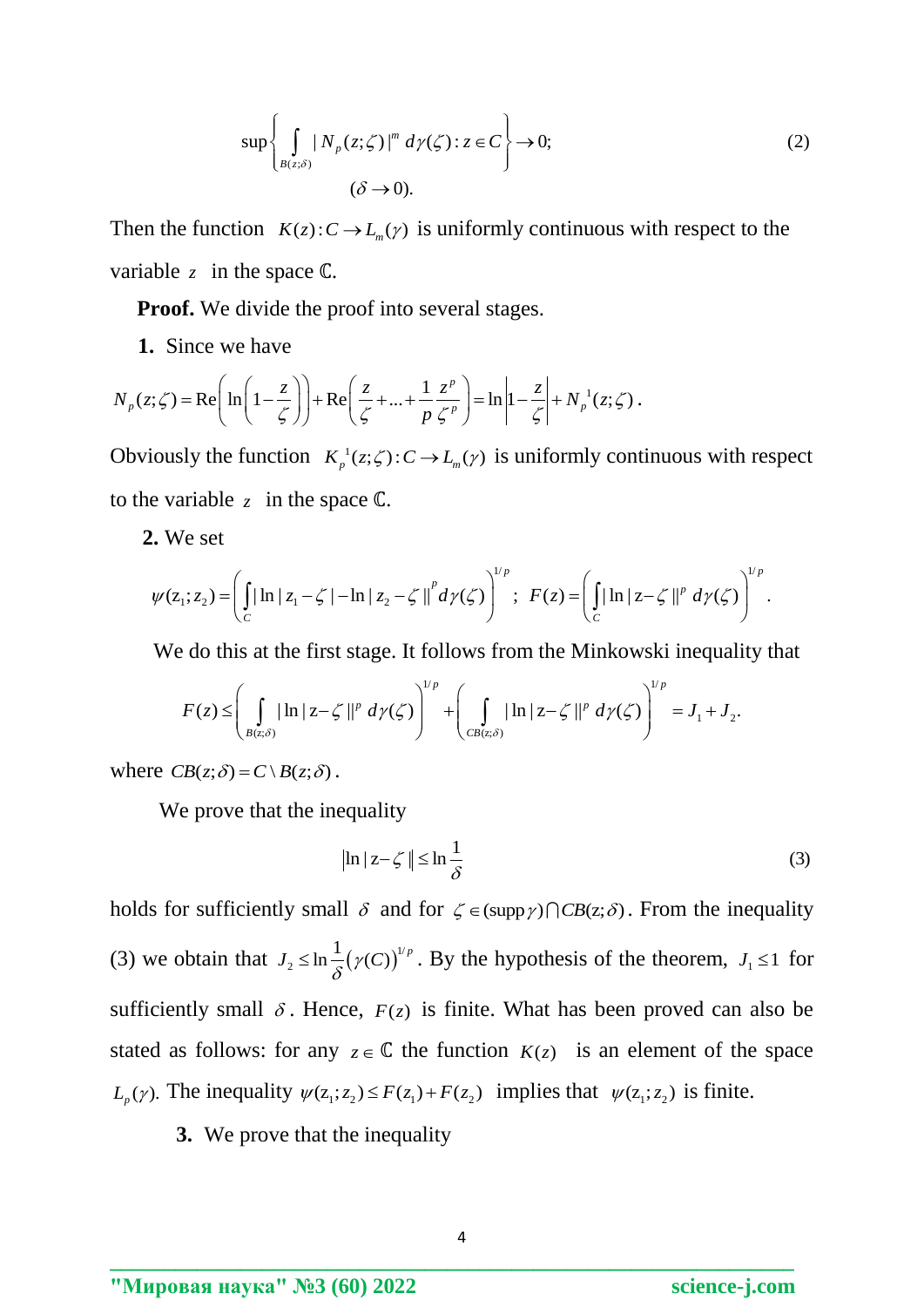$$
\sup \left\{ \int_{B(z;\delta)} |N_p(z;\zeta)|^m \, d\gamma(\zeta) : z \in C \right\} \to 0; \tag{2}
$$
\n
$$
(\delta \to 0).
$$

Then the function  $K(z): C \to L_m(y)$  is uniformly continuous with respect to the variable  $z$  in the space  $\mathbb{C}$ .

**Proof.** We divide the proof into several stages.

**1.** Since we have

1. Since we have  
\n
$$
N_p(z;\zeta) = \text{Re}\left(\ln\left(1-\frac{z}{\zeta}\right)\right) + \text{Re}\left(\frac{z}{\zeta} + ... + \frac{1}{p}\frac{z^p}{\zeta^p}\right) = \ln\left|1-\frac{z}{\zeta}\right| + N_p^{-1}(z;\zeta).
$$

Obviously the function  $K_p^{-1}(z;\zeta): C \to L_m(\gamma)$  is uniformly continuous with respect to the variable  $z$  in the space  $\mathbb{C}$ .

 **2.** We set

2. We set  
\n
$$
\psi(z_1; z_2) = \left( \int_C |\ln |z_1 - \zeta| - \ln |z_2 - \zeta| \right)^p d\gamma(\zeta) \right)^{1/p}; \ \ F(z) = \left( \int_C |\ln |z - \zeta| \right)^p d\gamma(\zeta) \right)^{1/p}.
$$

We do this at the first stage. It follows from the Minkowski inequality that\n
$$
F(z) \leq \left(\int_{B(z;\delta)} |\ln |z - \zeta||^p \, d\gamma(\zeta) \right)^{1/p} + \left(\int_{CB(z;\delta)} |\ln |z - \zeta||^p \, d\gamma(\zeta) \right)^{1/p} = J_1 + J_2.
$$

where  $CB(z; \delta) = C \setminus B(z; \delta)$ .

We prove that the inequality

$$
| \ln |z - \zeta | | \le \ln \frac{1}{\delta}
$$
 (3)

holds for sufficiently small  $\delta$  and for  $\zeta \in (\text{supp}\gamma) \cap CB(z;\delta)$ . From the inequality (3) we obtain that  $J_2 \leq \ln \frac{1}{2} (\gamma(C))^{\frac{1}{2}}$ 2  $J_2 \leq \ln \frac{1}{\delta} (\gamma(C))^{1/p}$ . By the hypothesis of the theorem,  $J_1 \leq 1$  for sufficiently small  $\delta$ . Hence,  $F(z)$  is finite. What has been proved can also be stated as follows: for any  $z \in \mathbb{C}$  the function  $K(z)$  is an element of the space  $L_p(\gamma)$ . The inequality  $\psi(z_1; z_2) \leq F(z_1) + F(z_2)$  implies that  $\psi(z_1; z_2)$  is finite.

**3.** We prove that the inequality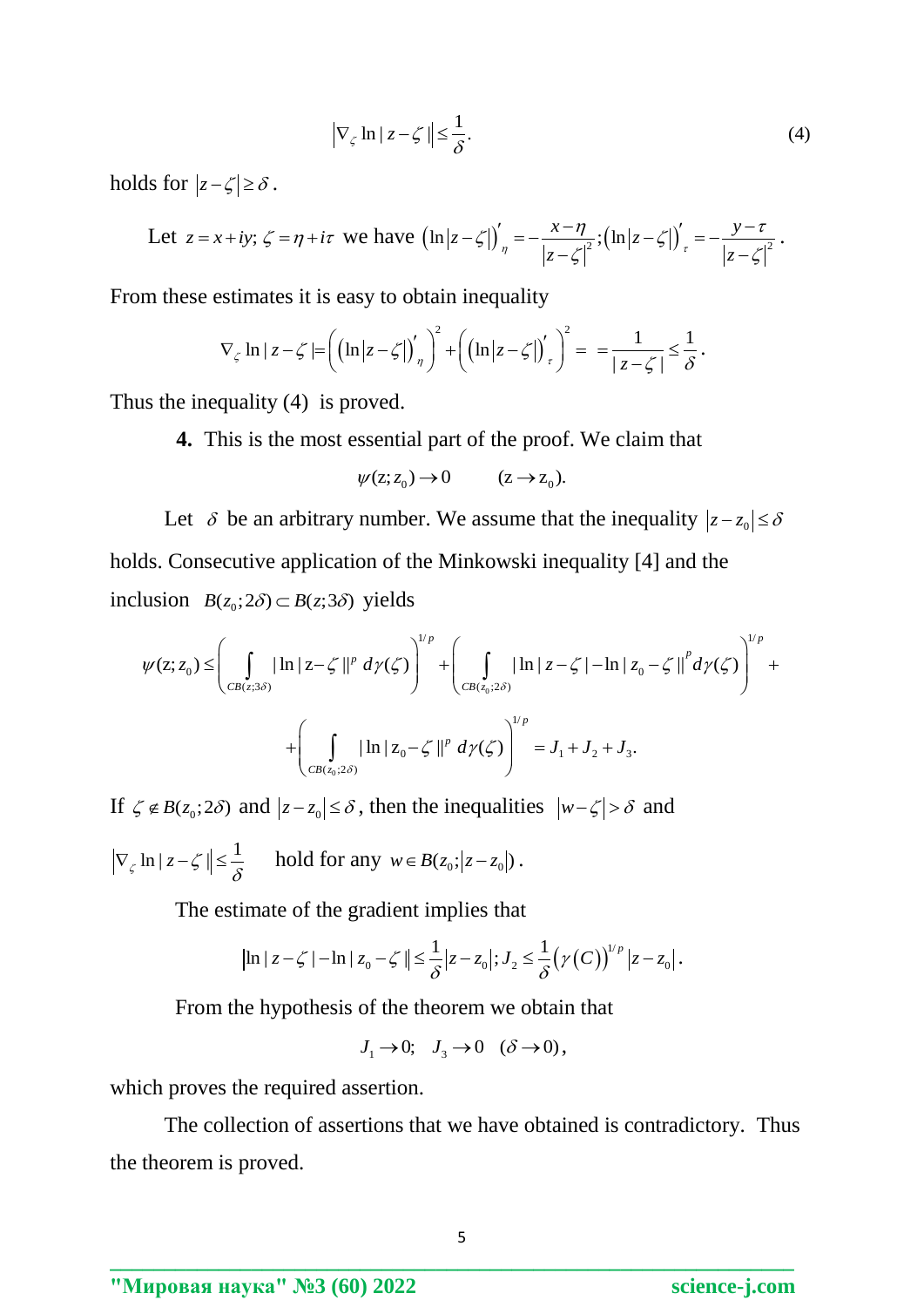$$
\left|\nabla_{\zeta} \ln|z - \zeta| \right| \le \frac{1}{\delta}.\tag{4}
$$

holds for  $|z-\zeta|\geq \delta$ .

$$
\text{Total } \text{ for } |z - \zeta| \ge \delta.
$$
\n
$$
\text{Let } z = x + iy; \ \zeta = \eta + i\tau \text{ we have } \left(\ln|z - \zeta|\right)'_{\eta} = -\frac{x - \eta}{|z - \zeta|^{2}}; \left(\ln|z - \zeta|\right)'_{\tau} = -\frac{y - \tau}{|z - \zeta|^{2}}.
$$

From these estimates it is easy to obtain inequality  
\n
$$
\nabla_{\zeta} \ln |z - \zeta| = \left( \left( \ln |z - \zeta| \right)'_{\eta} \right)^2 + \left( \left( \ln |z - \zeta| \right)'_{\tau} \right)^2 = \frac{1}{|z - \zeta|} \le \frac{1}{\delta}.
$$

Thus the inequality (4) is proved.

**4.** This is the most essential part of the proof. We claim that

$$
\psi(z; z_0) \to 0 \qquad (z \to z_0).
$$

Let  $\delta$  be an arbitrary number. We assume that the inequality  $|z-z_0| \leq \delta$ holds. Consecutive application of the Minkowski inequality [4] and the inclusion  $B(z_0; 2\delta) \subset B(z; 3\delta)$  yields  $(z_0; 2\delta) \subset B(z; 3\delta)$  yields<br>  $\left(\begin{array}{c} | \ln |z - \zeta| |^p \, d\gamma(\zeta) \end{array}\right)^{1/p} + \left(\begin{array}{c} | \ln |z - \zeta| - \ln |z_0 - \zeta| \, d\gamma(\zeta) \end{array}\right)^{1/p} +$ 

ds. Consecutive application of the Minkowski inequality [4] and the  
lusion 
$$
B(z_0; 2\delta) \subset B(z; 3\delta)
$$
 yields  

$$
\psi(z; z_0) \leq \left(\int_{CB(z; 3\delta)} |\ln |z - \zeta||^p \, d\gamma(\zeta)| \right)^{1/p} + \left(\int_{CB(z_0; 2\delta)} |\ln |z - \zeta| - \ln |z_0 - \zeta||^p \, d\gamma(\zeta) \right)^{1/p} + \left(\int_{CB(z_0; 2\delta)} |\ln |z_0 - \zeta||^p \, d\gamma(\zeta) \right)^{1/p} = J_1 + J_2 + J_3.
$$

If  $\zeta \notin B(z_0; 2\delta)$  and  $|z - z_0| \le \delta$ , then the inequalities  $|w - \zeta| > \delta$  and

 $\nabla_{\zeta} \ln |z - \zeta| \leq \frac{1}{\delta}$  hold for any  $w \in B(z_0; |z - z_0|)$ .

The estimate of the gradient implies that  
\n
$$
|\ln |z - \zeta| - \ln |z_0 - \zeta| \leq \frac{1}{\delta} |z - z_0|; J_2 \leq \frac{1}{\delta} (\gamma(C))^{1/p} |z - z_0|.
$$

From the hypothesis of the theorem we obtain that

$$
J_1 \to 0; \quad J_3 \to 0 \quad (\delta \to 0),
$$

which proves the required assertion.

 The collection of assertions that we have obtained is contradictory. Thus the theorem is proved.